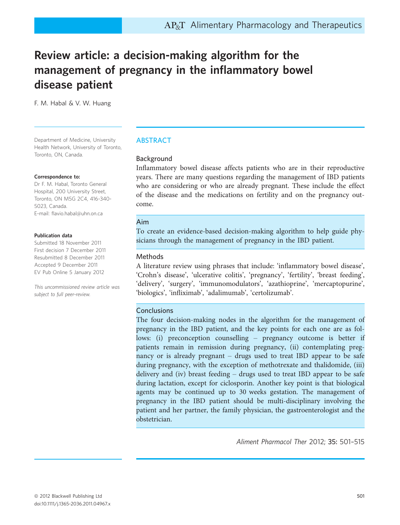# Review article: a decision-making algorithm for the management of pregnancy in the inflammatory bowel disease patient

F. M. Habal & V. W. Huang

Department of Medicine, University Health Network, University of Toronto, Toronto, ON, Canada.

#### Correspondence to:

Dr F. M. Habal, Toronto General Hospital, 200 University Street, Toronto, ON M5G 2C4, 416-340- 5023, Canada. E-mail: flavio.habal@uhn.on.ca

#### Publication data

Submitted 18 November 2011 First decision 7 December 2011 Resubmitted 8 December 2011 Accepted 9 December 2011 EV Pub Online 5 January 2012

This uncommissioned review article was subject to full peer-review.

# ABSTRACT

# Background

Inflammatory bowel disease affects patients who are in their reproductive years. There are many questions regarding the management of IBD patients who are considering or who are already pregnant. These include the effect of the disease and the medications on fertility and on the pregnancy outcome.

# Aim

To create an evidence-based decision-making algorithm to help guide physicians through the management of pregnancy in the IBD patient.

# Methods

A literature review using phrases that include: 'inflammatory bowel disease', 'Crohn's disease', 'ulcerative colitis', 'pregnancy', 'fertility', 'breast feeding', 'delivery', 'surgery', 'immunomodulators', 'azathioprine', 'mercaptopurine', 'biologics', 'infliximab', 'adalimumab', 'certolizumab'.

# **Conclusions**

The four decision-making nodes in the algorithm for the management of pregnancy in the IBD patient, and the key points for each one are as follows: (i) preconception counselling – pregnancy outcome is better if patients remain in remission during pregnancy, (ii) contemplating pregnancy or is already pregnant – drugs used to treat IBD appear to be safe during pregnancy, with the exception of methotrexate and thalidomide, (iii) delivery and (iv) breast feeding – drugs used to treat IBD appear to be safe during lactation, except for ciclosporin. Another key point is that biological agents may be continued up to 30 weeks gestation. The management of pregnancy in the IBD patient should be multi-disciplinary involving the patient and her partner, the family physician, the gastroenterologist and the obstetrician.

Aliment Pharmacol Ther 2012; 35: 501–515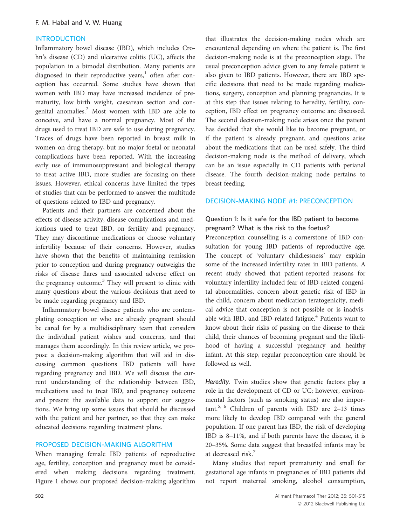## INTRODUCTION

Inflammatory bowel disease (IBD), which includes Crohn's disease (CD) and ulcerative colitis (UC), affects the population in a bimodal distribution. Many patients are diagnosed in their reproductive years,<sup>1</sup> often after conception has occurred. Some studies have shown that women with IBD may have increased incidence of prematurity, low birth weight, caesarean section and congenital anomalies.2 Most women with IBD are able to conceive, and have a normal pregnancy. Most of the drugs used to treat IBD are safe to use during pregnancy. Traces of drugs have been reported in breast milk in women on drug therapy, but no major foetal or neonatal complications have been reported. With the increasing early use of immunosuppressant and biological therapy to treat active IBD, more studies are focusing on these issues. However, ethical concerns have limited the types of studies that can be performed to answer the multitude of questions related to IBD and pregnancy.

Patients and their partners are concerned about the effects of disease activity, disease complications and medications used to treat IBD, on fertility and pregnancy. They may discontinue medications or choose voluntary infertility because of their concerns. However, studies have shown that the benefits of maintaining remission prior to conception and during pregnancy outweighs the risks of disease flares and associated adverse effect on the pregnancy outcome.<sup>3</sup> They will present to clinic with many questions about the various decisions that need to be made regarding pregnancy and IBD.

Inflammatory bowel disease patients who are contemplating conception or who are already pregnant should be cared for by a multidisciplinary team that considers the individual patient wishes and concerns, and that manages them accordingly. In this review article, we propose a decision-making algorithm that will aid in discussing common questions IBD patients will have regarding pregnancy and IBD. We will discuss the current understanding of the relationship between IBD, medications used to treat IBD, and pregnancy outcome and present the available data to support our suggestions. We bring up some issues that should be discussed with the patient and her partner, so that they can make educated decisions regarding treatment plans.

## PROPOSED DECISION-MAKING ALGORITHM

When managing female IBD patients of reproductive age, fertility, conception and pregnancy must be considered when making decisions regarding treatment. Figure 1 shows our proposed decision-making algorithm that illustrates the decision-making nodes which are encountered depending on where the patient is. The first decision-making node is at the preconception stage. The usual preconception advice given to any female patient is also given to IBD patients. However, there are IBD specific decisions that need to be made regarding medications, surgery, conception and planning pregnancies. It is at this step that issues relating to heredity, fertility, conception, IBD effect on pregnancy outcome are discussed. The second decision-making node arises once the patient has decided that she would like to become pregnant, or if the patient is already pregnant, and questions arise about the medications that can be used safely. The third decision-making node is the method of delivery, which can be an issue especially in CD patients with perianal disease. The fourth decision-making node pertains to breast feeding.

#### DECISION-MAKING NODE #1: PRECONCEPTION

# Question 1: Is it safe for the IBD patient to become pregnant? What is the risk to the foetus?

Preconception counselling is a cornerstone of IBD consultation for young IBD patients of reproductive age. The concept of 'voluntary childlessness' may explain some of the increased infertility rates in IBD patients. A recent study showed that patient-reported reasons for voluntary infertility included fear of IBD-related congenital abnormalities, concern about genetic risk of IBD in the child, concern about medication teratogenicity, medical advice that conception is not possible or is inadvisable with IBD, and IBD-related fatigue.<sup>4</sup> Patients want to know about their risks of passing on the disease to their child, their chances of becoming pregnant and the likelihood of having a successful pregnancy and healthy infant. At this step, regular preconception care should be followed as well.

Heredity. Twin studies show that genetic factors play a role in the development of CD or UC; however, environmental factors (such as smoking status) are also important.5, 6 Children of parents with IBD are 2–13 times more likely to develop IBD compared with the general population. If one parent has IBD, the risk of developing IBD is 8–11%, and if both parents have the disease, it is 20–35%. Some data suggest that breastfed infants may be at decreased risk.<sup>7</sup>

Many studies that report prematurity and small for gestational age infants in pregnancies of IBD patients did not report maternal smoking, alcohol consumption,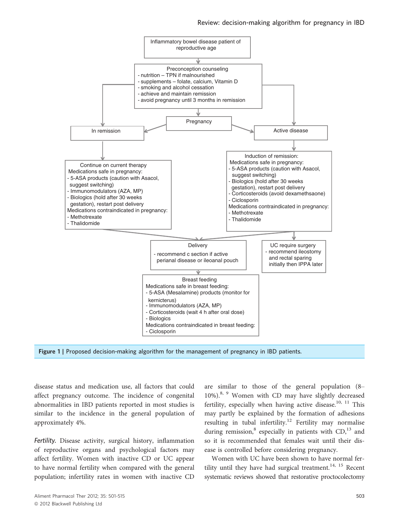

Figure 1 | Proposed decision-making algorithm for the management of pregnancy in IBD patients.

disease status and medication use, all factors that could affect pregnancy outcome. The incidence of congenital abnormalities in IBD patients reported in most studies is similar to the incidence in the general population of approximately 4%.

Fertility. Disease activity, surgical history, inflammation of reproductive organs and psychological factors may affect fertility. Women with inactive CD or UC appear to have normal fertility when compared with the general population; infertility rates in women with inactive CD are similar to those of the general population (8–  $10\%$ ).<sup>8, 9</sup> Women with CD may have slightly decreased fertility, especially when having active disease.<sup>10, 11</sup> This may partly be explained by the formation of adhesions resulting in tubal infertility.<sup>12</sup> Fertility may normalise during remission, $8$  especially in patients with  $CD<sub>13</sub>$  and so it is recommended that females wait until their disease is controlled before considering pregnancy.

Women with UC have been shown to have normal fertility until they have had surgical treatment.<sup>14, 15</sup> Recent systematic reviews showed that restorative proctocolectomy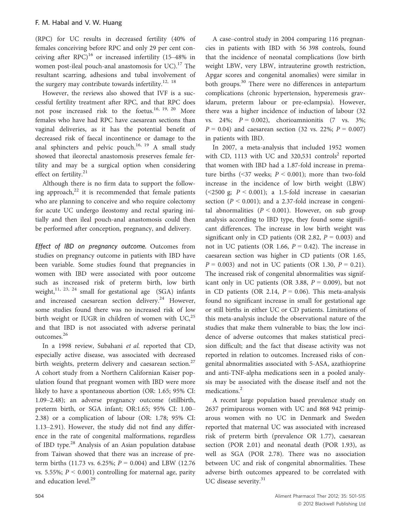(RPC) for UC results in decreased fertility (40% of females conceiving before RPC and only 29 per cent conceiving after  $RPC)^{16}$  or increased infertility (15–48% in women post-ileal pouch-anal anastomosis for  $UC$ ).<sup>17</sup> The resultant scarring, adhesions and tubal involvement of the surgery may contribute towards infertility.<sup>12, 18</sup>

However, the reviews also showed that IVF is a successful fertility treatment after RPC, and that RPC does not pose increased risk to the foetus.<sup>16, 19, 20</sup> More females who have had RPC have caesarean sections than vaginal deliveries, as it has the potential benefit of decreased risk of faecal incontinence or damage to the anal sphincters and pelvic pouch.<sup>16, 19</sup> A small study showed that ileorectal anastomosis preserves female fertility and may be a surgical option when considering effect on fertility.<sup>21</sup>

Although there is no firm data to support the following approach, $^{22}$  it is recommended that female patients who are planning to conceive and who require colectomy for acute UC undergo ileostomy and rectal sparing initially and then ileal pouch-anal anastomosis could then be performed after conception, pregnancy, and delivery.

Effect of IBD on pregnancy outcome. Outcomes from studies on pregnancy outcome in patients with IBD have been variable. Some studies found that pregnancies in women with IBD were associated with poor outcome such as increased risk of preterm birth, low birth weight, $11, 23, 24$  small for gestational age (SGA) infants and increased caesarean section delivery.<sup>24</sup> However, some studies found there was no increased risk of low birth weight or IUGR in children of women with UC, $^{25}$ and that IBD is not associated with adverse perinatal outcomes.26

In a 1998 review, Subahani et al. reported that CD, especially active disease, was associated with decreased birth weights, preterm delivery and caesarean section.<sup>27</sup> A cohort study from a Northern Californian Kaiser population found that pregnant women with IBD were more likely to have a spontaneous abortion (OR: 1.65; 95% CI: 1.09–2.48); an adverse pregnancy outcome (stillbirth, preterm birth, or SGA infant; OR:1.65; 95% CI: 1.00– 2.38) or a complication of labour (OR: 1.78; 95% CI: 1.13–2.91). However, the study did not find any difference in the rate of congenital malformations, regardless of IBD type.<sup>28</sup> Analysis of an Asian population database from Taiwan showed that there was an increase of preterm births (11.73 vs. 6.25%;  $P = 0.004$ ) and LBW (12.76 vs. 5.55%;  $P < 0.001$ ) controlling for maternal age, parity and education level.<sup>29</sup>

A case–control study in 2004 comparing 116 pregnancies in patients with IBD with 56 398 controls, found that the incidence of neonatal complications (low birth weight LBW, very LBW, intrauterine growth restriction, Apgar scores and congenital anomalies) were similar in both groups.<sup>30</sup> There were no differences in antepartum complications (chronic hypertension, hyperemesis gravidarum, preterm labour or pre-eclampsia). However, there was a higher incidence of induction of labour (32 vs. 24%;  $P = 0.002$ ), chorioamnionitis (7 vs. 3%;  $P = 0.04$ ) and caesarean section (32 vs. 22%;  $P = 0.007$ ) in patients with IBD.

In 2007, a meta-analysis that included 1952 women with CD, 1113 with UC and  $320,531$  controls<sup>2</sup> reported that women with IBD had a 1.87-fold increase in premature births (<37 weeks;  $P < 0.001$ ); more than two-fold increase in the incidence of low birth weight (LBW) ( $\leq$ 2500 g;  $P \leq 0.001$ ); a 1.5-fold increase in caesarian section ( $P < 0.001$ ); and a 2.37-fold increase in congenital abnormalities ( $P < 0.001$ ). However, on sub group analysis according to IBD type, they found some significant differences. The increase in low birth weight was significant only in CD patients (OR 2.82,  $P = 0.003$ ) and not in UC patients (OR 1.66,  $P = 0.42$ ). The increase in caesarean section was higher in CD patients (OR 1.65,  $P = 0.003$ ) and not in UC patients (OR 1.30,  $P = 0.21$ ). The increased risk of congenital abnormalities was significant only in UC patients (OR 3.88,  $P = 0.009$ ), but not in CD patients (OR 2.14,  $P = 0.06$ ). This meta-analysis found no significant increase in small for gestational age or still births in either UC or CD patients. Limitations of this meta-analysis include the observational nature of the studies that make them vulnerable to bias; the low incidence of adverse outcomes that makes statistical precision difficult; and the fact that disease activity was not reported in relation to outcomes. Increased risks of congenital abnormalities associated with 5-ASA, azathioprine and anti-TNF-alpha medications seen in a pooled analysis may be associated with the disease itself and not the medications.<sup>2</sup>

A recent large population based prevalence study on 2637 primiparous women with UC and 868 942 primiparous women with no UC in Denmark and Sweden reported that maternal UC was associated with increased risk of preterm birth (prevalence OR 1.77), caesarean section (POR 2.01) and neonatal death (POR 1.93), as well as SGA (POR 2.78). There was no association between UC and risk of congenital abnormalities. These adverse birth outcomes appeared to be correlated with UC disease severity.<sup>31</sup>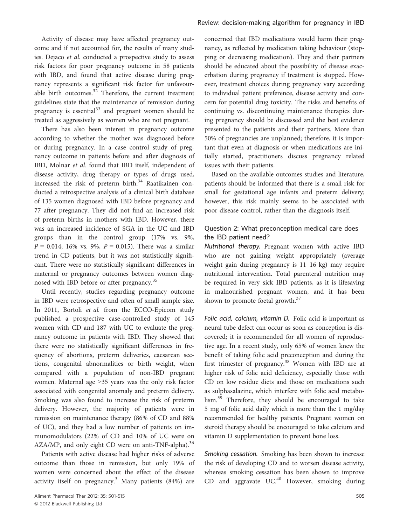Activity of disease may have affected pregnancy outcome and if not accounted for, the results of many studies. Dejaco et al. conducted a prospective study to assess risk factors for poor pregnancy outcome in 58 patients with IBD, and found that active disease during pregnancy represents a significant risk factor for unfavourable birth outcomes. $32$  Therefore, the current treatment guidelines state that the maintenance of remission during pregnancy is essential $33$  and pregnant women should be treated as aggressively as women who are not pregnant.

There has also been interest in pregnancy outcome according to whether the mother was diagnosed before or during pregnancy. In a case–control study of pregnancy outcome in patients before and after diagnosis of IBD, Molnar et al. found that IBD itself, independent of disease activity, drug therapy or types of drugs used, increased the risk of preterm birth. $34$  Raatikainen conducted a retrospective analysis of a clinical birth database of 135 women diagnosed with IBD before pregnancy and 77 after pregnancy. They did not find an increased risk of preterm births in mothers with IBD. However, there was an increased incidence of SGA in the UC and IBD groups than in the control group (17% vs. 9%,  $P = 0.014$ ; 16% vs. 9%,  $P = 0.015$ ). There was a similar trend in CD patients, but it was not statistically significant. There were no statistically significant differences in maternal or pregnancy outcomes between women diagnosed with IBD before or after pregnancy.<sup>35</sup>

Until recently, studies regarding pregnancy outcome in IBD were retrospective and often of small sample size. In 2011, Bortoli et al. from the ECCO-Epicom study published a prospective case-controlled study of 145 women with CD and 187 with UC to evaluate the pregnancy outcome in patients with IBD. They showed that there were no statistically significant differences in frequency of abortions, preterm deliveries, caesarean sections, congenital abnormalities or birth weight, when compared with a population of non-IBD pregnant women. Maternal age >35 years was the only risk factor associated with congenital anomaly and preterm delivery. Smoking was also found to increase the risk of preterm delivery. However, the majority of patients were in remission on maintenance therapy (86% of CD and 88% of UC), and they had a low number of patients on immunomodulators (22% of CD and 10% of UC were on AZA/MP, and only eight CD were on anti-TNF-alpha).<sup>36</sup>

Patients with active disease had higher risks of adverse outcome than those in remission, but only 19% of women were concerned about the effect of the disease activity itself on pregnancy.<sup>3</sup> Many patients  $(84%)$  are

concerned that IBD medications would harm their pregnancy, as reflected by medication taking behaviour (stopping or decreasing medication). They and their partners should be educated about the possibility of disease exacerbation during pregnancy if treatment is stopped. However, treatment choices during pregnancy vary according to individual patient preference, disease activity and concern for potential drug toxicity. The risks and benefits of continuing vs. discontinuing maintenance therapies during pregnancy should be discussed and the best evidence presented to the patients and their partners. More than 50% of pregnancies are unplanned; therefore, it is important that even at diagnosis or when medications are initially started, practitioners discuss pregnancy related issues with their patients.

Based on the available outcomes studies and literature, patients should be informed that there is a small risk for small for gestational age infants and preterm delivery; however, this risk mainly seems to be associated with poor disease control, rather than the diagnosis itself.

# Question 2: What preconception medical care does the IBD patient need?

Nutritional therapy. Pregnant women with active IBD who are not gaining weight appropriately (average weight gain during pregnancy is 11–16 kg) may require nutritional intervention. Total parenteral nutrition may be required in very sick IBD patients, as it is lifesaving in malnourished pregnant women, and it has been shown to promote foetal growth.<sup>37</sup>

Folic acid, calcium, vitamin D. Folic acid is important as neural tube defect can occur as soon as conception is discovered; it is recommended for all women of reproductive age. In a recent study, only 65% of women knew the benefit of taking folic acid preconception and during the first trimester of pregnancy.<sup>38</sup> Women with IBD are at higher risk of folic acid deficiency, especially those with CD on low residue diets and those on medications such as sulphasalazine, which interfere with folic acid metabolism.<sup>39</sup> Therefore, they should be encouraged to take 5 mg of folic acid daily which is more than the 1 mg/day recommended for healthy patients. Pregnant women on steroid therapy should be encouraged to take calcium and vitamin D supplementation to prevent bone loss.

Smoking cessation. Smoking has been shown to increase the risk of developing CD and to worsen disease activity, whereas smoking cessation has been shown to improve CD and aggravate  $UC<sub>10</sub><sup>40</sup>$  However, smoking during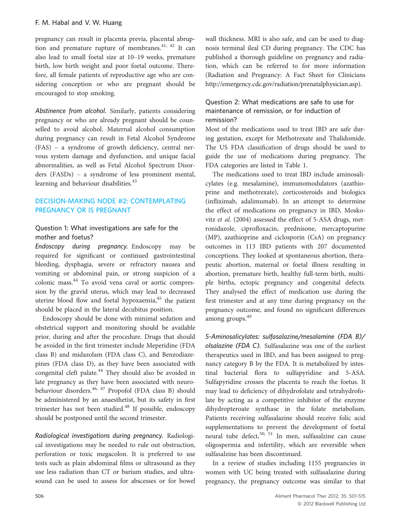pregnancy can result in placenta previa, placental abruption and premature rupture of membranes. $41, 42$  It can also lead to small foetal size at 10–19 weeks, premature birth, low birth weight and poor foetal outcome. Therefore, all female patients of reproductive age who are considering conception or who are pregnant should be encouraged to stop smoking.

Abstinence from alcohol. Similarly, patients considering pregnancy or who are already pregnant should be counselled to avoid alcohol. Maternal alcohol consumption during pregnancy can result in Fetal Alcohol Syndrome (FAS) – a syndrome of growth deficiency, central nervous system damage and dysfunction, and unique facial abnormalities, as well as Fetal Alcohol Spectrum Disorders (FASDs) – a syndrome of less prominent mental, learning and behaviour disabilities.<sup>43</sup>

# DECISION-MAKING NODE #2: CONTEMPLATING PREGNANCY OR IS PREGNANT

# Question 1: What investigations are safe for the mother and foetus?

Endoscopy during pregnancy. Endoscopy may be required for significant or continued gastrointestinal bleeding, dysphagia, severe or refractory nausea and vomiting or abdominal pain, or strong suspicion of a colonic mass.<sup>44</sup> To avoid vena caval or aortic compression by the gravid uterus, which may lead to decreased uterine blood flow and foetal hypoxaemia, $45$  the patient should be placed in the lateral decubitus position.

Endoscopy should be done with minimal sedation and obstetrical support and monitoring should be available prior, during and after the procedure. Drugs that should be avoided in the first trimester include Meperidine (FDA class B) and midazolam (FDA class C), and Benzodiazepines (FDA class D), as they have been associated with congenital cleft palate.<sup>44</sup> They should also be avoided in late pregnancy as they have been associated with neurobehaviour disorders.46, 47 Propofol (FDA class B) should be administered by an anaesthetist, but its safety in first trimester has not been studied.<sup>48</sup> If possible, endoscopy should be postponed until the second trimester.

Radiological investigations during pregnancy. Radiological investigations may be needed to rule out obstruction, perforation or toxic megacolon. It is preferred to use tests such as plain abdominal films or ultrasound as they use less radiation than CT or barium studies, and ultrasound can be used to assess for abscesses or for bowel wall thickness. MRI is also safe, and can be used to diagnosis terminal ileal CD during pregnancy. The CDC has published a thorough guideline on pregnancy and radiation, which can be referred to for more information (Radiation and Pregnancy: A Fact Sheet for Clinicians http://emergency.cdc.gov/radiation/prenatalphysician.asp).

# Question 2: What medications are safe to use for maintenance of remission, or for induction of remission?

Most of the medications used to treat IBD are safe during gestation, except for Methotrexate and Thalidomide. The US FDA classification of drugs should be used to guide the use of medications during pregnancy. The FDA categories are listed in Table 1.

The medications used to treat IBD include aminosalicylates (e.g. mesalamine), immunomodulators (azathioprine and methotrexate), corticosteroids and biologics (infliximab, adalimumab). In an attempt to determine the effect of medications on pregnancy in IBD, Moskovitz et al. (2004) assessed the effect of 5-ASA drugs, metronidazole, ciprofloxacin, prednisone, mercaptopurine (MP), azathioprine and ciclosporin (CsA) on pregnancy outcomes in 113 IBD patients with 207 documented conceptions. They looked at spontaneous abortion, therapeutic abortion, maternal or foetal illness resulting in abortion, premature birth, healthy full-term birth, multiple births, ectopic pregnancy and congenital defects. They analysed the effect of medication use during the first trimester and at any time during pregnancy on the pregnancy outcome, and found no significant differences among groups.49

5-Aminosalicylates: sulfasalazine/mesalamine (FDA B)/ olsalazine (FDA C). Sulfasalazine was one of the earliest therapeutics used in IBD, and has been assigned to pregnancy category B by the FDA. It is metabolized by intestinal bacterial flora to sulfapyridine and 5-ASA. Sulfapyridine crosses the placenta to reach the foetus. It may lead to deficiency of dihydrofolate and tetrahydrofolate by acting as a competitive inhibitor of the enzyme dihydropteroate synthase in the folate metabolism. Patients receiving sulfasalazine should receive folic acid supplementations to prevent the development of foetal neural tube defect.<sup>50, 51</sup> In men, sulfasalzine can cause oligospermia and infertility, which are reversible when sulfasalzine has been discontinued.

In a review of studies including 1155 pregnancies in women with UC being treated with sulfasalazine during pregnancy, the pregnancy outcome was similar to that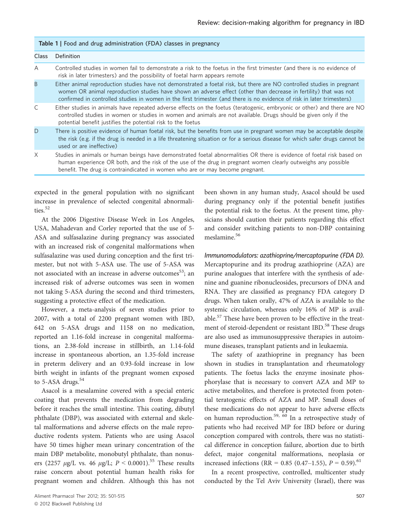| Table 1   Food and drug administration (FDA) classes in pregnancy |                                                                                                                                                                                                                                                                                                                                                                        |
|-------------------------------------------------------------------|------------------------------------------------------------------------------------------------------------------------------------------------------------------------------------------------------------------------------------------------------------------------------------------------------------------------------------------------------------------------|
| <b>Class</b>                                                      | <b>Definition</b>                                                                                                                                                                                                                                                                                                                                                      |
| A                                                                 | Controlled studies in women fail to demonstrate a risk to the foetus in the first trimester (and there is no evidence of<br>risk in later trimesters) and the possibility of foetal harm appears remote                                                                                                                                                                |
| <sub>B</sub>                                                      | Either animal reproduction studies have not demonstrated a foetal risk, but there are NO controlled studies in pregnant<br>women OR animal reproduction studies have shown an adverse effect (other than decrease in fertility) that was not<br>confirmed in controlled studies in women in the first trimester (and there is no evidence of risk in later trimesters) |
| C                                                                 | Either studies in animals have repeated adverse effects on the foetus (teratogenic, embryonic or other) and there are NO<br>controlled studies in women or studies in women and animals are not available. Drugs should be given only if the<br>potential benefit justifies the potential risk to the foetus                                                           |
| D                                                                 | There is positive evidence of human foetal risk, but the benefits from use in pregnant women may be acceptable despite<br>the risk (e.g. if the drug is needed in a life threatening situation or for a serious disease for which safer drugs cannot be<br>used or are ineffective)                                                                                    |
| X                                                                 | Studies in animals or human beings have demonstrated foetal abnormalities OR there is evidence of foetal risk based on<br>human experience OR both, and the risk of the use of the drug in pregnant women clearly outweighs any possible<br>benefit. The drug is contraindicated in women who are or may become pregnant.                                              |

expected in the general population with no significant increase in prevalence of selected congenital abnormalities.<sup>52</sup>

At the 2006 Digestive Disease Week in Los Angeles, USA, Mahadevan and Corley reported that the use of 5- ASA and sulfasalazine during pregnancy was associated with an increased risk of congenital malformations when sulfasalazine was used during conception and the first trimester, but not with 5-ASA use. The use of 5-ASA was not associated with an increase in adverse outcomes<sup>53</sup>; an increased risk of adverse outcomes was seen in women not taking 5-ASA during the second and third trimesters, suggesting a protective effect of the medication.

However, a meta-analysis of seven studies prior to 2007, with a total of 2200 pregnant women with IBD, 642 on 5-ASA drugs and 1158 on no medication, reported an 1.16-fold increase in congenital malformations, an 2.38-fold increase in stillbirth, an 1.14-fold increase in spontaneous abortion, an 1.35-fold increase in preterm delivery and an 0.93-fold increase in low birth weight in infants of the pregnant women exposed to 5-ASA drugs. $54$ 

Asacol is a mesalamine covered with a special enteric coating that prevents the medication from degrading before it reaches the small intestine. This coating, dibutyl phthalate (DBP), was associated with external and skeletal malformations and adverse effects on the male reproductive rodents system. Patients who are using Asacol have 50 times higher mean urinary concentration of the main DBP metabolite, monobutyl phthalate, than nonusers (2257  $\mu$ g/L vs. 46  $\mu$ g/L; P < 0.0001).<sup>55</sup> These results raise concern about potential human health risks for pregnant women and children. Although this has not

been shown in any human study, Asacol should be used during pregnancy only if the potential benefit justifies the potential risk to the foetus. At the present time, physicians should caution their patients regarding this effect and consider switching patients to non-DBP containing meslamine<sup>56</sup>

Immunomodulators: azathioprine/mercaptopurine (FDA D). Mercaptopurine and its prodrug azathioprine (AZA) are purine analogues that interfere with the synthesis of adenine and guanine ribonucleosides, precursors of DNA and RNA. They are classified as pregnancy FDA category D drugs. When taken orally, 47% of AZA is available to the systemic circulation, whereas only 16% of MP is available.<sup>57</sup> These have been proven to be effective in the treatment of steroid-dependent or resistant IBD.<sup>58</sup> These drugs are also used as immunosuppressive therapies in autoimmune diseases, transplant patients and in leukaemia.

The safety of azathioprine in pregnancy has been shown in studies in transplantation and rheumatology patients. The foetus lacks the enzyme inosinate phosphorylase that is necessary to convert AZA and MP to active metabolites, and therefore is protected from potential teratogenic effects of AZA and MP. Small doses of these medications do not appear to have adverse effects on human reproduction.<sup>59, 60</sup> In a retrospective study of patients who had received MP for IBD before or during conception compared with controls, there was no statistical difference in conception failure, abortion due to birth defect, major congenital malformations, neoplasia or increased infections (RR = 0.85 (0.47–1.55),  $P = 0.59$ ).<sup>61</sup>

In a recent prospective, controlled, multicenter study conducted by the Tel Aviv University (Israel), there was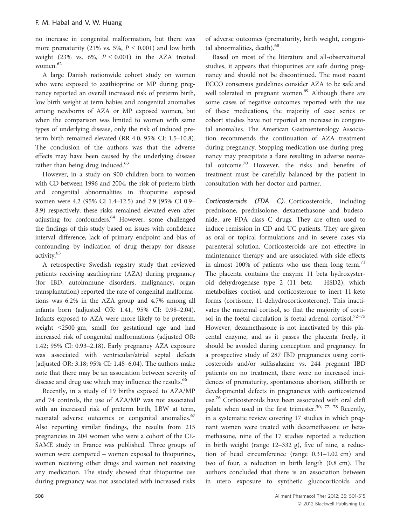no increase in congenital malformation, but there was more prematurity (21% vs. 5%,  $P < 0.001$ ) and low birth weight (23% vs.  $6\%, P < 0.001$ ) in the AZA treated women.<sup>62</sup>

A large Danish nationwide cohort study on women who were exposed to azathioprine or MP during pregnancy reported an overall increased risk of preterm birth, low birth weight at term babies and congenital anomalies among newborns of AZA or MP exposed women, but when the comparison was limited to women with same types of underlying disease, only the risk of induced preterm birth remained elevated (RR 4.0, 95% CI: 1.5–10.8). The conclusion of the authors was that the adverse effects may have been caused by the underlying disease rather than being drug induced.<sup>63</sup>

However, in a study on 900 children born to women with CD between 1996 and 2004, the risk of preterm birth and congenital abnormalities in thiopurine exposed women were 4.2 (95% CI 1.4–12.5) and 2.9 (95% CI 0.9– 8.9) respectively; these risks remained elevated even after adjusting for confounders.<sup>64</sup> However, some challenged the findings of this study based on issues with confidence interval difference, lack of primary endpoint and bias of confounding by indication of drug therapy for disease activity.65

A retrospective Swedish registry study that reviewed patients receiving azathioprine (AZA) during pregnancy (for IBD, autoimmune disorders, malignancy, organ transplantation) reported the rate of congenital malformations was 6.2% in the AZA group and 4.7% among all infants born (adjusted OR: 1.41, 95% CI: 0.98–2.04). Infants exposed to AZA were more likely to be preterm, weight <2500 gm, small for gestational age and had increased risk of congenital malformations (adjusted OR: 1.42; 95% CI: 0.93–2.18). Early pregnancy AZA exposure was associated with ventricular/atrial septal defects (adjusted OR: 3.18; 95% CI: 1.45–6.04). The authors make note that there may be an association between severity of disease and drug use which may influence the results.<sup>66</sup>

Recently, in a study of 19 births exposed to AZA/MP and 74 controls, the use of AZA/MP was not associated with an increased risk of preterm birth, LBW at term, neonatal adverse outcomes or congenital anomalies.<sup>67</sup> Also reporting similar findings, the results from 215 pregnancies in 204 women who were a cohort of the CE-SAME study in France was published. Three groups of women were compared – women exposed to thiopurines, women receiving other drugs and women not receiving any medication. The study showed that thiopurine use during pregnancy was not associated with increased risks

Based on most of the literature and all-observational studies, it appears that thiopurines are safe during pregnancy and should not be discontinued. The most recent ECCO consensus guidelines consider AZA to be safe and well tolerated in pregnant women.<sup>69</sup> Although there are some cases of negative outcomes reported with the use of these medications, the majority of case series or cohort studies have not reported an increase in congenital anomalies. The American Gastroenterology Association recommends the continuation of AZA treatment during pregnancy. Stopping medication use during pregnancy may precipitate a flare resulting in adverse neonatal outcome.<sup>70</sup> However, the risks and benefits of treatment must be carefully balanced by the patient in consultation with her doctor and partner.

Corticosteroids (FDA C). Corticosteroids, including prednisone, prednisolone, dexamethasone and budesonide, are FDA class C drugs. They are often used to induce remission in CD and UC patients. They are given as oral or topical formulations and in severe cases via parenteral solution. Corticosteroids are not effective in maintenance therapy and are associated with side effects in almost 100% of patients who use them long term. $71$ The placenta contains the enzyme 11 beta hydroxysteroid dehydrogenase type 2 (11 beta – HSD2), which metabolizes cortisol and corticosterone to inert 11-keto forms (cortisone, 11-dehydrocorticosterone). This inactivates the maternal cortisol, so that the majority of cortisol in the foetal circulation is foetal adrenal cortisol.<sup>72-75</sup> However, dexamethasone is not inactivated by this placental enzyme, and as it passes the placenta freely, it should be avoided during conception and pregnancy. In a prospective study of 287 IBD pregnancies using corticosteroids and/or sulfasalazine vs. 244 pregnant IBD patients on no treatment, there were no increased incidences of prematurity, spontaneous abortion, stillbirth or developmental defects in pregnancies with corticosteroid use.<sup>76</sup> Corticosteroids have been associated with oral cleft palate when used in the first trimester.<sup>30, 77, 78</sup> Recently, in a systematic review covering 17 studies in which pregnant women were treated with dexamethasone or betamethasone, nine of the 17 studies reported a reduction in birth weight (range 12–332 g), five of nine, a reduction of head circumference (range 0.31–1.02 cm) and two of four, a reduction in birth length (0.8 cm). The authors concluded that there is an association between in utero exposure to synthetic glucocorticoids and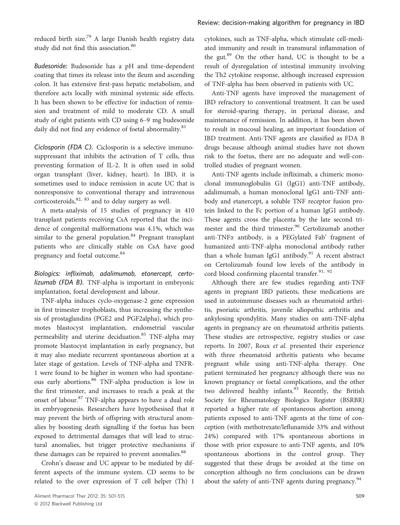reduced birth size.<sup>79</sup> A large Danish health registry data study did not find this association.<sup>80</sup>

Budesonide: Budesonide has a pH and time-dependent coating that times its release into the ileum and ascending colon. It has extensive first-pass hepatic metabolism, and therefore acts locally with minimal systemic side effects. It has been shown to be effective for induction of remission and treatment of mild to moderate CD. A small study of eight patients with CD using 6–9 mg budesonide daily did not find any evidence of foetal abnormality.<sup>81</sup>

Ciclosporin (FDA C). Ciclosporin is a selective immunosuppressant that inhibits the activation of T cells, thus preventing formation of IL-2. It is often used in solid organ transplant (liver, kidney, heart). In IBD, it is sometimes used to induce remission in acute UC that is nonresponsive to conventional therapy and intravenous corticosteroids,82, 83 and to delay surgery as well.

A meta-analysis of 15 studies of pregnancy in 410 transplant patients receiving CsA reported that the incidence of congenital malformations was 4.1%, which was similar to the general population. $84$  Pregnant transplant patients who are clinically stable on CsA have good pregnancy and foetal outcome.<sup>84</sup>

Biologics: infliximab, adalimumab, etanercept, certolizumab (FDA B). TNF-alpha is important in embryonic implantation, foetal development and labour.

TNF-alpha induces cyclo-oxygenase-2 gene expression in first trimester trophoblasts, thus increasing the synthesis of prostaglandins (PGE2 and PGF2alpha), which promotes blastocyst implantation, endometrial vascular permeability and uterine deciduation.<sup>85</sup> TNF-alpha may promote blastocyst implantation in early pregnancy, but it may also mediate recurrent spontaneous abortion at a later stage of gestation. Levels of TNF-alpha and TNFR-1 were found to be higher in women who had spontaneous early abortions.<sup>86</sup> TNF-alpha production is low in the first trimester, and increases to reach a peak at the onset of labour.<sup>87</sup> TNF-alpha appears to have a dual role in embryogenesis. Researchers have hypothesised that it may prevent the birth of offspring with structural anomalies by boosting death signalling if the foetus has been exposed to detrimental damages that will lead to structural anomalies, but trigger protective mechanisms if these damages can be repaired to prevent anomalies.<sup>88</sup>

Crohn's disease and UC appear to be mediated by different aspects of the immune system. CD seems to be related to the over expression of T cell helper (Th) 1 cytokines, such as TNF-alpha, which stimulate cell-mediated immunity and result in transmural inflammation of the gut.<sup>89</sup> On the other hand, UC is thought to be a result of dysregulation of intestinal immunity involving the Th2 cytokine response, although increased expression of TNF-alpha has been observed in patients with UC.

Anti-TNF agents have improved the management of IBD refractory to conventional treatment. It can be used for steroid-sparing therapy, in perianal disease, and maintenance of remission. In addition, it has been shown to result in mucosal healing, an important foundation of IBD treatment. Anti-TNF agents are classified as FDA B drugs because although animal studies have not shown risk to the foetus, there are no adequate and well-controlled studies of pregnant women.

Anti-TNF agents include infliximab, a chimeric monoclonal immunoglobulin G1 (IgG1) anti-TNF antibody, adalimumab, a human monoclonal IgG1 anti-TNF antibody and etanercept, a soluble TNF receptor fusion protein linked to the Fc portion of a human IgG1 antibody. These agents cross the placenta by the late second trimester and the third trimester.<sup>90</sup> Certolizumab another anti-TNFa antibody, is a PEGylated Fab' fragment of humanized anti-TNF-alpha monoclonal antibody rather than a whole human IgG1 antibody. $91$  A recent abstract on Certolizumab found low levels of the antibody in cord blood confirming placental transfer.<sup>91, 92</sup>

Although there are few studies regarding anti-TNF agents in pregnant IBD patients, these medications are used in autoimmune diseases such as rheumatoid arthritis, psoriatic arthritis, juvenile idiopathic arthritis and ankylosing spondylitis. Many studies on anti-TNF-alpha agents in pregnancy are on rheumatoid arthritis patients. These studies are retrospective, registry studies or case reports. In 2007, Roux et al. presented their experience with three rheumatoid arthritis patients who became pregnant while using anti-TNF-alpha therapy. One patient terminated her pregnancy although there was no known pregnancy or foetal complications, and the other two delivered healthy infants.<sup>93</sup> Recently, the British Society for Rheumatology Biologics Register (BSRBR) reported a higher rate of spontaneous abortion among patients exposed to anti-TNF agents at the time of conception (with methotrexate/leflunamide 33% and without 24%) compared with 17% spontaneous abortions in those with prior exposure to anti-TNF agents, and 10% spontaneous abortions in the control group. They suggested that these drugs be avoided at the time on conception although no firm conclusions can be drawn about the safety of anti-TNF agents during pregnancy.<sup>94</sup>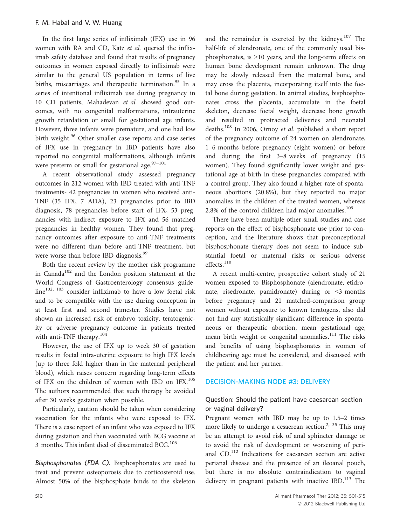#### F. M. Habal and V. W. Huang

In the first large series of infliximab (IFX) use in 96 women with RA and CD, Katz et al. queried the infliximab safety database and found that results of pregnancy outcomes in women exposed directly to infliximab were similar to the general US population in terms of live births, miscarriages and therapeutic termination.<sup>95</sup> In a series of intentional infliximab use during pregnancy in 10 CD patients, Mahadevan et al. showed good outcomes, with no congenital malformations, intrauterine growth retardation or small for gestational age infants. However, three infants were premature, and one had low birth weight.<sup>96</sup> Other smaller case reports and case series of IFX use in pregnancy in IBD patients have also reported no congenital malformations, although infants were preterm or small for gestational age. $97-101$ 

A recent observational study assessed pregnancy outcomes in 212 women with IBD treated with anti-TNF treatments- 42 pregnancies in women who received anti-TNF (35 IFX, 7 ADA), 23 pregnancies prior to IBD diagnosis, 78 pregnancies before start of IFX, 53 pregnancies with indirect exposure to IFX and 56 matched pregnancies in healthy women. They found that pregnancy outcomes after exposure to anti-TNF treatments were no different than before anti-TNF treatment, but were worse than before IBD diagnosis.<sup>99</sup>

Both the recent review by the mother risk programme in Canada<sup>102</sup> and the London position statement at the World Congress of Gastroenterology consensus guide $line<sup>102, 103</sup>$  consider infliximab to have a low foetal risk and to be compatible with the use during conception in at least first and second trimester. Studies have not shown an increased risk of embryo toxicity, teratogenicity or adverse pregnancy outcome in patients treated with anti-TNF therapy.<sup>104</sup>

However, the use of IFX up to week 30 of gestation results in foetal intra-uterine exposure to high IFX levels (up to three fold higher than in the maternal peripheral blood), which raises concern regarding long-term effects of IFX on the children of women with IBD on IFX.<sup>105</sup> The authors recommended that such therapy be avoided after 30 weeks gestation when possible.

Particularly, caution should be taken when considering vaccination for the infants who were exposed to IFX. There is a case report of an infant who was exposed to IFX during gestation and then vaccinated with BCG vaccine at 3 months. This infant died of disseminated BCG.<sup>106</sup>

Bisphosphonates (FDA C). Bisphosphonates are used to treat and prevent osteoporosis due to corticosteroid use. Almost 50% of the bisphosphate binds to the skeleton and the remainder is excreted by the kidneys. $107$  The half-life of alendronate, one of the commonly used bisphosphonates, is >10 years, and the long-term effects on human bone development remain unknown. The drug may be slowly released from the maternal bone, and may cross the placenta, incorporating itself into the foetal bone during gestation. In animal studies, bisphosphonates cross the placenta, accumulate in the foetal skeleton, decrease foetal weight, decrease bone growth and resulted in protracted deliveries and neonatal deaths.<sup>108</sup> In 2006, Ornoy et al. published a short report of the pregnancy outcome of 24 women on alendronate, 1–6 months before pregnancy (eight women) or before and during the first 3–8 weeks of pregnancy (15 women). They found significantly lower weight and gestational age at birth in these pregnancies compared with a control group. They also found a higher rate of spontaneous abortions (20.8%), but they reported no major anomalies in the children of the treated women, whereas 2.8% of the control children had major anomalies. $109$ 

There have been multiple other small studies and case reports on the effect of bisphosphonate use prior to conception, and the literature shows that preconceptional bisphosphonate therapy does not seem to induce substantial foetal or maternal risks or serious adverse effects.<sup>110</sup>

A recent multi-centre, prospective cohort study of 21 women exposed to Bisphosphonate (alendronate, etidronate, risedronate, pamidronate) during or <3 months before pregnancy and 21 matched-comparison group women without exposure to known teratogens, also did not find any statistically significant difference in spontaneous or therapeutic abortion, mean gestational age, mean birth weight or congenital anomalies. $111$  The risks and benefits of using bisphosphonates in women of childbearing age must be considered, and discussed with the patient and her partner.

## DECISION-MAKING NODE #3: DELIVERY

# Question: Should the patient have caesarean section or vaginal delivery?

Pregnant women with IBD may be up to 1.5–2 times more likely to undergo a cesaerean section.<sup>2, 35</sup> This may be an attempt to avoid risk of anal sphincter damage or to avoid the risk of development or worsening of perianal CD.<sup>112</sup> Indications for caesarean section are active perianal disease and the presence of an ileoanal pouch, but there is no absolute contraindication to vaginal delivery in pregnant patients with inactive IBD. $^{113}$  The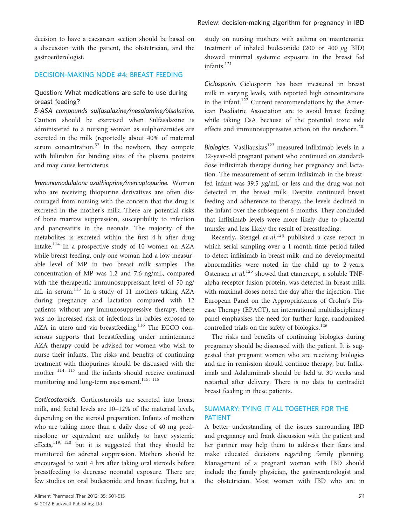decision to have a caesarean section should be based on a discussion with the patient, the obstetrician, and the gastroenterologist.

# DECISION-MAKING NODE #4: BREAST FEEDING

# Question: What medications are safe to use during breast feeding?

5-ASA compounds sulfasalazine/mesalamine/olsalazine. Caution should be exercised when Sulfasalazine is administered to a nursing woman as sulphonamides are excreted in the milk (reportedly about 40% of maternal serum concentration.<sup>52</sup> In the newborn, they compete with bilirubin for binding sites of the plasma proteins and may cause kernicterus.

Immunomodulators: azathioprine/mercaptopurine. Women who are receiving thiopurine derivatives are often discouraged from nursing with the concern that the drug is excreted in the mother's milk. There are potential risks of bone marrow suppression, susceptibility to infection and pancreatitis in the neonate. The majority of the metabolites is excreted within the first 4 h after drug intake. $114$  In a prospective study of 10 women on AZA while breast feeding, only one woman had a low measurable level of MP in two breast milk samples. The concentration of MP was 1.2 and 7.6 ng/mL, compared with the therapeutic immunosuppressant level of 50 ng/ mL in serum.<sup>115</sup> In a study of 11 mothers taking AZA during pregnancy and lactation compared with 12 patients without any immunosuppressive therapy, there was no increased risk of infections in babies exposed to AZA in utero and via breastfeeding.<sup>116</sup> The ECCO consensus supports that breastfeeding under maintenance AZA therapy could be advised for women who wish to nurse their infants. The risks and benefits of continuing treatment with thiopurines should be discussed with the mother  $^{114, 117}$  and the infants should receive continued monitoring and long-term assessment.<sup>115, 118</sup>

Corticosteroids. Corticosteroids are secreted into breast milk, and foetal levels are 10–12% of the maternal levels, depending on the steroid preparation. Infants of mothers who are taking more than a daily dose of 40 mg prednisolone or equivalent are unlikely to have systemic effects,<sup>119, 120</sup> but it is suggested that they should be monitored for adrenal suppression. Mothers should be encouraged to wait 4 hrs after taking oral steroids before breastfeeding to decrease neonatal exposure. There are few studies on oral budesonide and breast feeding, but a

study on nursing mothers with asthma on maintenance treatment of inhaled budesonide (200 or 400  $\mu$ g BID) showed minimal systemic exposure in the breast fed infants.<sup>121</sup>

Ciclosporin. Ciclosporin has been measured in breast milk in varying levels, with reported high concentrations in the infant.<sup>122</sup> Current recommendations by the American Paediatric Association are to avoid breast feeding while taking CsA because of the potential toxic side effects and immunosuppressive action on the newborn.<sup>20</sup>

Biologics. Vasiliauskas $123$  measured infliximab levels in a 32-year-old pregnant patient who continued on standarddose infliximab therapy during her pregnancy and lactation. The measurement of serum infliximab in the breastfed infant was  $39.5 \mu g/mL$  or less and the drug was not detected in the breast milk. Despite continued breast feeding and adherence to therapy, the levels declined in the infant over the subsequent 6 months. They concluded that infliximab levels were more likely due to placental transfer and less likely the result of breastfeeding.

Recently, Stengel et al.<sup>124</sup> published a case report in which serial sampling over a 1-month time period failed to detect infliximab in breast milk, and no developmental abnormalities were noted in the child up to 2 years. Ostensen et al.<sup>125</sup> showed that etanercept, a soluble TNFalpha receptor fusion protein, was detected in breast milk with maximal doses noted the day after the injection. The European Panel on the Appropriateness of Crohn's Disease Therapy (EPACT), an international multidisciplinary panel emphasises the need for further large, randomized controlled trials on the safety of biologics.<sup>126</sup>

The risks and benefits of continuing biologics during pregnancy should be discussed with the patient. It is suggested that pregnant women who are receiving biologics and are in remission should continue therapy, but Infliximab and Adalumimab should be held at 30 weeks and restarted after delivery. There is no data to contradict breast feeding in these patients.

# SUMMARY: TYING IT ALL TOGETHER FOR THE PATIENT

A better understanding of the issues surrounding IBD and pregnancy and frank discussion with the patient and her partner may help them to address their fears and make educated decisions regarding family planning. Management of a pregnant woman with IBD should include the family physician, the gastroenterologist and the obstetrician. Most women with IBD who are in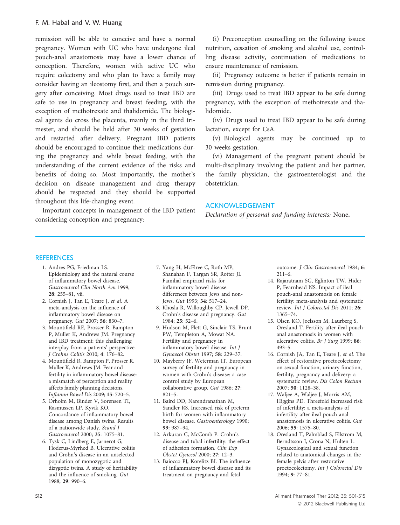remission will be able to conceive and have a normal pregnancy. Women with UC who have undergone ileal pouch-anal anastomosis may have a lower chance of conception. Therefore, women with active UC who require colectomy and who plan to have a family may consider having an ileostomy first, and then a pouch surgery after conceiving. Most drugs used to treat IBD are safe to use in pregnancy and breast feeding, with the exception of methotrexate and thalidomide. The biological agents do cross the placenta, mainly in the third trimester, and should be held after 30 weeks of gestation and restarted after delivery. Pregnant IBD patients should be encouraged to continue their medications during the pregnancy and while breast feeding, with the understanding of the current evidence of the risks and benefits of doing so. Most importantly, the mother's decision on disease management and drug therapy should be respected and they should be supported throughout this life-changing event.

Important concepts in management of the IBD patient considering conception and pregnancy:

(i) Preconception counselling on the following issues: nutrition, cessation of smoking and alcohol use, controlling disease activity, continuation of medications to ensure maintenance of remission.

(ii) Pregnancy outcome is better if patients remain in remission during pregnancy.

(iii) Drugs used to treat IBD appear to be safe during pregnancy, with the exception of methotrexate and thalidomide.

(iv) Drugs used to treat IBD appear to be safe during lactation, except for CsA.

(v) Biological agents may be continued up to 30 weeks gestation.

(vi) Management of the pregnant patient should be multi-disciplinary involving the patient and her partner, the family physician, the gastroenterologist and the obstetrician.

# ACKNOWLEDGEMENT

Declaration of personal and funding interests: None.

## **REFERENCES**

- 1. Andres PG, Friedman LS. Epidemiology and the natural course of inflammatory bowel disease. Gastroenterol Clin North Am 1999; 28: 255–81, vii.
- 2. Cornish J, Tan E, Teare J, et al. A meta-analysis on the influence of inflammatory bowel disease on pregnancy. Gut 2007; 56: 830–7.
- 3. Mountifield RE, Prosser R, Bampton P, Muller K, Andrews JM. Pregnancy and IBD treatment: this challenging interplay from a patients' perspective. J Crohns Colitis 2010; 4: 176–82.
- 4. Mountifield R, Bampton P, Prosser R, Muller K, Andrews JM. Fear and fertility in inflammatory bowel disease: a mismatch of perception and reality affects family planning decisions. Inflamm Bowel Dis 2009; 15: 720–5.
- 5. Orholm M, Binder V, Sorensen TI, Rasmussen LP, Kyvik KO. Concordance of inflammatory bowel disease among Danish twins. Results of a nationwide study. Scand J Gastroenterol 2000; 35: 1075–81.
- 6. Tysk C, Lindberg E, Jarnerot G, Floderus-Myrhed B. Ulcerative colitis and Crohn's disease in an unselected population of monozygotic and dizygotic twins. A study of heritability and the influence of smoking. Gut 1988; 29: 990–6.
- 7. Yang H, McElree C, Roth MP, Shanahan F, Targan SR, Rotter JI. Familial empirical risks for inflammatory bowel disease: differences between Jews and non-Jews. Gut 1993; 34: 517–24.
- 8. Khosla R, Willoughby CP, Jewell DP. Crohn's disease and pregnancy. Gut 1984; 25: 52–6.
- 9. Hudson M, Flett G, Sinclair TS, Brunt PW, Templeton A, Mowat NA. Fertility and pregnancy in inflammatory bowel disease. Int J Gynaecol Obstet 1997; 58: 229–37.
- 10. Mayberry JF, Weterman IT. European survey of fertility and pregnancy in women with Crohn's disease: a case control study by European collaborative group. Gut 1986; 27: 821–5.
- 11. Baird DD, Narendranathan M, Sandler RS. Increased risk of preterm birth for women with inflammatory bowel disease. Gastroenterology 1990; 99: 987–94.
- 12. Arkuran C, McComb P. Crohn's disease and tubal infertility: the effect of adhesion formation. Clin Exp Obstet Gynecol 2000; 27: 12–3.
- 13. Baiocco PJ, Korelitz BI. The influence of inflammatory bowel disease and its treatment on pregnancy and fetal

outcome. J Clin Gastroenterol 1984; 6:  $211–6.$ 

- 14. Rajaratnam SG, Eglinton TW, Hider P, Fearnhead NS. Impact of ileal pouch-anal anastomosis on female fertility: meta-analysis and systematic review. Int J Colorectal Dis 2011; 26: 1365–74.
- 15. Olsen KO, Joelsson M, Laurberg S, Oresland T. Fertility after ileal pouchanal anastomosis in women with ulcerative colitis. Br J Surg 1999; 86: 493–5.
- 16. Cornish JA, Tan E, Teare J, et al. The effect of restorative proctocolectomy on sexual function, urinary function, fertility, pregnancy and delivery: a systematic review. Dis Colon Rectum 2007; 50: 1128–38.
- 17. Waljee A, Waljee J, Morris AM, Higgins PD. Threefold increased risk of infertility: a meta-analysis of infertility after ileal pouch anal anastomosis in ulcerative colitis. Gut 2006; 55: 1575–80.
- 18. Oresland T, Palmblad S, Ellstrom M, Berndtsson I, Crona N, Hulten L. Gynaecological and sexual function related to anatomical changes in the female pelvis after restorative proctocolectomy. Int J Colorectal Dis 1994; 9: 77–81.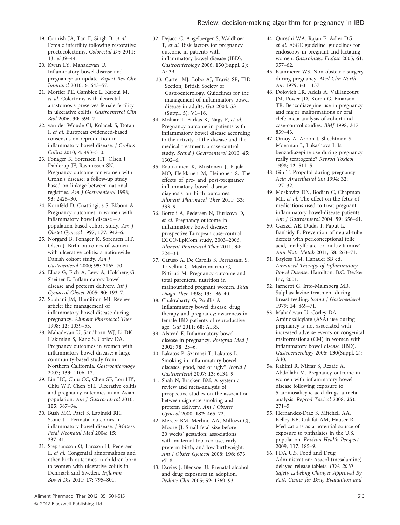#### Review: decision-making algorithm for pregnancy in IBD

- 19. Cornish JA, Tan E, Singh B, et al. Female infertility following restorative proctocolectomy. Colorectal Dis 2011; 13: e339–44.
- 20. Kwan LY, Mahadevan U. Inflammatory bowel disease and pregnancy: an update. Expert Rev Clin Immunol 2010; 6: 643–57.
- 21. Mortier PE, Gambiez L, Karoui M, et al. Colectomy with ileorectal anastomosis preserves female fertility in ulcerative colitis. Gastroenterol Clin Biol 2006; 30: 594–7.
- 22. van der Woude CJ, Kolacek S, Dotan I, et al. European evidenced-based consensus on reproduction in inflammatory bowel disease. J Crohns Colitis 2010; 4: 493–510.
- 23. Fonager K, Sorensen HT, Olsen J, Dahlerup JF, Rasmussen SN. Pregnancy outcome for women with Crohn's disease: a follow-up study based on linkage between national registries. Am J Gastroenterol 1998; 93: 2426–30.
- 24. Kornfeld D, Cnattingius S, Ekbom A. Pregnancy outcomes in women with inflammatory bowel disease – a population-based cohort study. Am J Obstet Gynecol 1997; 177: 942–6.
- 25. Norgard B, Fonager K, Sorensen HT, Olsen J. Birth outcomes of women with ulcerative colitis: a nationwide Danish cohort study. Am J Gastroenterol 2000; 95: 3165–70.
- 26. Elbaz G, Fich A, Levy A, Holcberg G, Sheiner E. Inflammatory bowel disease and preterm delivery. Int J Gynaecol Obstet 2005; 90: 193–7.
- 27. Subhani JM, Hamiliton MI. Review article: the management of inflammatory bowel disease during pregnancy. Aliment Pharmacol Ther 1998; 12: 1039–53.
- 28. Mahadevan U, Sandborn WJ, Li DK, Hakimian S, Kane S, Corley DA. Pregnancy outcomes in women with inflammatory bowel disease: a large community-based study from Northern California. Gastroenterology 2007; 133: 1106–12.
- 29. Lin HC, Chiu CC, Chen SF, Lou HY, Chiu WT, Chen YH. Ulcerative colitis and pregnancy outcomes in an Asian population. Am J Gastroenterol 2010; 105: 387–94.
- 30. Bush MC, Patel S, Lapinski RH, Stone JL. Perinatal outcomes in inflammatory bowel disease. J Matern Fetal Neonatal Med 2004; 15: 237–41.
- 31. Stephansson O, Larsson H, Pedersen L, et al. Congenital abnormalities and other birth outcomes in children born to women with ulcerative colitis in Denmark and Sweden. Inflamm Bowel Dis 2011; 17: 795–801.
- 32. Dejaco C, Angelberger S, Waldhoer T, et al. Risk factors for pregnancy outcome in patients with inflammatory bowel disease (IBD). Gastroenterology 2006; 130(Suppl. 2): A: 39.
- 33. Carter MJ, Lobo AJ, Travis SP, IBD Section, British Society of Gastroenterology. Guidelines for the management of inflammatory bowel disease in adults. Gut 2004; 53 (Suppl. 5): V1–16.
- 34. Molnar T, Farkas K, Nagy F, et al. Pregnancy outcome in patients with inflammatory bowel disease according to the activity of the disease and the medical treatment: a case-control study. Scand J Gastroenterol 2010; 45: 1302–6.
- 35. Raatikainen K, Mustonen J, Pajala MO, Heikkinen M, Heinonen S. The effects of pre- and post-pregnancy inflammatory bowel disease diagnosis on birth outcomes. Aliment Pharmacol Ther 2011; 33: 333–9.
- 36. Bortoli A, Pedersen N, Duricova D, et al. Pregnancy outcome in inflammatory bowel disease: prospective European case-control ECCO-EpiCom study, 2003–2006. Aliment Pharmacol Ther 2011; 34: 724–34.
- 37. Caruso A, De Carolis S, Ferrazzani S, Trivellini C, Mastromarino C, Pittiruti M. Pregnancy outcome and total parenteral nutrition in malnourished pregnant women. Fetal Diagn Ther 1998; 13: 136–40.
- 38. Chakrabarty G, Poullis A. Inflammatory bowel disease, drug therapy and pregnancy: awareness in female IBD patients of reproductive age. Gut 2011; 60: A135.
- 39. Alstead E. Inflammatory bowel disease in pregnancy. Postgrad Med J 2002; 78: 23–6.
- 40. Lakatos P, Szamosi T, Lakatos L. Smoking in inflammatory bowel diseases: good, bad or ugly? World J Gastroenterol 2007; 13: 6134–9.
- 41. Shah N, Bracken BM. A systemic review and meta-analysis of prospective studies on the association between cigarette smoking and preterm delivery. Am J Obtstet Gynecol 2000; 182: 465–72.
- 42. Mercer BM, Merlino AA, Milluzzi CJ, Moore JJ. Small fetal size before 20 weeks' gestation: associations with maternal tobacco use, early preterm birth, and low birthweight. Am J Obstet Gynecol 2008; 198: 673, e7–8.
- 43. Davies J, Bledsoe BJ. Prenatal alcohol and drug exposures in adoption. Pediatr Clin 2005; 52: 1369–93.
- 44. Qureshi WA, Rajan E, Adler DG, et al. ASGE guideline: guidelines for endoscopy in pregnant and lactating women. Gastrointest Endosc 2005; 61: 357–62.
- 45. Kammerer WS. Non-obstetric surgery during pregnancy. Med Clin North Am 1979; 63: 1157.
- 46. Dolovich LR, Addis A, Vaillancourt JM, Power JD, Koren G, Einarson TR. Benzodiazepine use in pregnancy and major malformations or oral cleft: meta-analysis of cohort and case-control studies. BMJ 1998; 317: 839–43.
- 47. Ornoy A, Arnon J, Shechtman S, Moerman L, Lukashova I. Is benzodiazepine use during pregnancy really teratogenic? Reprod Toxicol 1998; 12: 511–5.
- 48. Gin T. Propofol during pregnancy. Acta Anaesthesiol Sin 1994; 32: 127–32.
- 49. Moskovitz DN, Bodian C, Chapman ML, et al. The effect on the fetus of medications used to treat pregnant inflammatory bowel-disease patients. Am J Gastroenterol 2004; 99: 656–61.
- 50. Czeizel AE, Dudas I, Paput L, Banhidy F. Prevention of neural-tube defects with periconceptional folic acid, methylfolate, or multivitamins? Ann Nutr Metab 2011; 58: 263–71.
- 51. Bayless TM, Hanauer SB ed. Advanced Therapy of Inflammatory Bowel Disease. Hamilton: B.C. Decker Inc, 2001.
- 52. Jarnerot G, Into-Malmberg MB. Sulphasalazine treatment during breast feeding. Scand J Gastroenterol 1979; 14: 869–71.
- 53. Mahadevan U, Corley DA. Aminosalicylate (ASA) use during pregnancy is not associated with increased adverse events or congenital malformations (CM) in women with inflammatory bowel disease (IBD). Gastroenterology 2006; 130(Suppl. 2):  $A40$
- 54. Rahimi R, Nikfar S, Rezaie A, Abdollahi M. Pregnancy outcome in women with inflammatory bowel disease following exposure to 5-aminosalicylic acid drugs: a metaanalysis. Reprod Toxicol 2008; 25): 271–5.
- 55. Hernández-Díaz S, Mitchell AA, Kelley KE, Calafat AM, Hauser R. Medications as a potential source of exposure to phthalates in the U.S. population. Environ Health Perspect 2009; 117: 185–9.
- 56. FDA U.S. Food and Drug Administration: Asacol (mesalamine) delayed release tablets. FDA 2010 Safety Labeling Changes Approved By FDA Center for Drug Evaluation and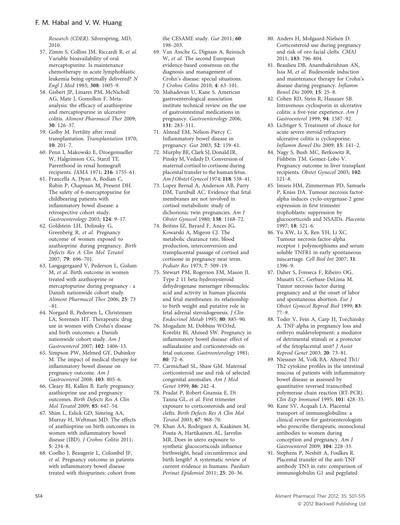Research (CDER). Silverspring, MD, 2010.

- 57. Zimm S, Collins JM, Riccardi R, et al. Variable bioavailability of oral mercaptopurine. Is maintenance chemotherapy in acute lymphoblastic leukemia being optimally delivered? N Engl J Med 1983; 308: 1005–9.
- 58. Gisbert JP, Linares PM, McNicholl AG, Mate J, Gomollon F. Metaanalysis: the efficacy of azathioprine and mercaptopurine in ulcerative colitis. Aliment Pharmacol Ther 2009; 30: 126–37.
- 59. Golby M. Fertility after renal transplantation. Transplantation 1970; 10: 201–7.
- 60. Penn I, Makowski E, Droegemueller W, Halgrimson CG, Starzl TE. Parenthood in renal homograft recipients. JAMA 1971; 216: 1755–61.
- 61. Francella A, Dyan A, Bodian C, Rubin P, Chapman M, Present DH. The safety of 6-mercaptopurine for childbearing patients with inflammatory bowel disease: a retrospective cohort study. Gastroenterology 2003; 124: 9–17.
- 62. Goldstein LH, Dolinsky G, Greenberg R, et al. Pregnancy outcome of women exposed to azathioprine during pregnancy. Birth Defects Res A Clin Mol Teratol 2007; 79: 696–701.
- 63. Langagergaard V, Pederson L, Gislum M, et al. Birth outcome in women treated with azathioprine or mercaptopurine during pregnancy : a Danish nationwide cohort study. Aliment Pharmacol Ther 2006; 25: 73 –81.
- 64. Norgard B, Pedersen L, Christensen LA, Sorensen HT. Therapeutic drug use in women with Crohn's disease and birth outcomes: a Danish nationwide cohort study. Am J Gastroenterol 2007; 102: 1406–13.
- 65. Simpson PW, Melmed GY, Dubinksy M. The impact of medical therapy for inflammatory bowel disease on pregnancy outcome. Am J Gastroenterol 2008; 103: 805–6.
- 66. Cleary BJ, Kallen B. Early pregnancy azathioprine use and pregnancy outcomes. Birth Defects Res A Clin Mol Teratol 2009; 85: 647–54.
- 67. Shim L, Eslick GD, Simring AA, Murray H, Weltman MD. The effects of azathioprine on birth outcomes in women with inflammatory bowel disease (IBD). J Crohns Colitis 2011; 5: 234–8.
- 68. Coelho J, Beaugerie L, Colombel JF, et al. Pregnancy outcome in patients with inflammatory bowel disease treated with thiopurines: cohort from

the CESAME study. Gut 2011; 60: 198–203.

- 69. Van Assche G, Dignass A, Reinisch W, et al. The second European evidence-based consensus on the diagnosis and management of Crohn's disease: special situations. J Crohns Colitis 2010; 4: 63–101.
- 70. Mahadevan U, Kane S. American gastroenterological association institute technical review on the use of gastrointestinal medications in pregnancy. Gastroenterology 2006; 131: 283–311.
- 71. Alstead EM, Nelson-Piercy C. Inflammatory bowel disease in pregnancy. Gut 2003; 52: 159–61.
- 72. Murphy BE, Clark SJ, Donald IR, Pinsky M, Vedady D. Conversion of maternal cortisol to cortisone during placental transfer to the human fetus. Am J Obstet Gynecol 1974; 118: 538–41.
- 73. Lopez Bernal A, Anderson AB, Parry DM, Turnbull AC. Evidence that fetal membranes are not involved in cortisol metabolism: study of dichorionic twin pregnancies. Am J Obstet Gynecol 1980; 138: 1168–72.
- 74. Beitins IZ, Bayard F, Ances IG, Kowarski A, Migeon CJ. The metabolic clearance rate, blood production, interconversion and transplacental passage of cortisol and cortisone in pregnancy near term. Pediatr Res 1973; 7: 509–19.
- 75. Stewart PM, Rogerson FM, Mason JI. Type 2 11 beta-hydroxysteroid dehydrogenase messenger ribonucleic acid and activity in human placenta and fetal membranes: its relationship to birth weight and putative role in fetal adrenal steroidogenesis. J Clin Endocrinol Metab 1995; 80: 885–90.
- 76. Mogadam M, Dobbins WO3rd, Korelitz BI, Ahmed SW. Pregnancy in inflammatory bowel disease: effect of sulfasalazine and corticosteroids on fetal outcome. Gastroenterology 1981; 80: 72–6.
- 77. Carmichael SL, Shaw GM. Maternal corticosteroid use and risk of selected congenital anomalies. Am J Med Genet 1999; 86: 242–4.
- 78. Pradat P, Robert-Gnansia E, Di Tanna GL, et al. First trimester exposure to corticosteroids and oral clefts. Birth Defects Res A Clin Mol Teratol 2003; 67: 968–70.
- 79. Khan AA, Rodriguez A, Kaakinen M, Pouta A, Hartikainen AL, Jarvelin MR. Does in utero exposure to synthetic glucocorticoids influence birthweight, head circumference and birth length? A systematic review of current evidence in humans. Paediatr Perinat Epidemiol 2011; 25: 20–36.
- 80. Anders H, Molgaard-Nielsen D. Corticosteroid use during pregnancy and risk of oro facial clefts. CMAJ 2011; 183: 796–804.
- 81. Beaulieu DB, Ananthakrishnan AN, Issa M, et al. Budesonide induction and maintenance therapy for Crohn's disease during pregnancy. Inflamm Bowel Dis 2009; 15: 25–8.
- 82. Cohen RD, Stein R, Hanauer SB. Intravenous cyclosporin in ulcerative colitis: a five-year experience. Am J Gastroenterol 1999; 94: 1587–92.
- 83. Lichtiger S. Treatment of choice for acute severe steroid-refractory ulcerative colitis is cyclosporine. Inflamm Bowel Dis 2009; 15: 141–2.
- 84. Nagy S, Bush MC, Berkowitz R, Fishbein TM, Gomez-Lobo V. Pregnancy outcome in liver transplant recipients. Obstet Gynecol 2003; 102: 121–8.
- 85. Imseis HM, Zimmerman PD, Samuels P, Kniss DA. Tumour necrosis factoralpha induces cyclo-oxygenase-2 gene expression in first trimester trophoblasts: suppression by glucocorticoids and NSAIDs. Placenta 1997; 18: 521–6.
- 86. Yu XW, Li X, Ren YH, Li XC. Tumour necrosis factor-alpha receptor 1 polymorphisms and serum soluble TNFR1 in early spontaneous miscarriage. Cell Biol Int 2007; 31: 1396–9.
- 87. Daher S, Fonseca F, Ribeiro OG, Musatti CC, Gerbase-DeLima M. Tumor necrosis factor during pregnancy and at the onset of labor and spontaneous abortion. Eur J Obstet Gynecol Reprod Biol 1999; 83: 77–9.
- 88. Toder V, Fein A, Carp H, Torchinsky A. TNF-alpha in pregnancy loss and embryo maldevelopment: a mediator of detrimental stimuli or a protector of the fetoplacental unit? J Assist Reprod Genet 2003; 20: 73–81.
- 89. Niessner M, Volk BA. Altered Th1/ Th2 cytokine profiles in the intestinal mucosa of patients with inflammatory bowel disease as assessed by quantitative reversed transcribed polymerase chain reaction (RT-PCR). Clin Exp Immunol 1995; 101: 428–35.
- 90. Kane SV, Acquah LA. Placental transport of immunoglobulins: a clinical review for gastroenterologists who prescribe therapeutic monoclonal antibodies to women during conception and pregnancy. Am J Gastroenterol 2009; 104: 228–33.
- 91. Stephens P, Nesbitt A, Foulkes R. Placental transfer of the anti-TNF antibody TN3 in rats: comparison of immunoglobulin G1 and pegylated